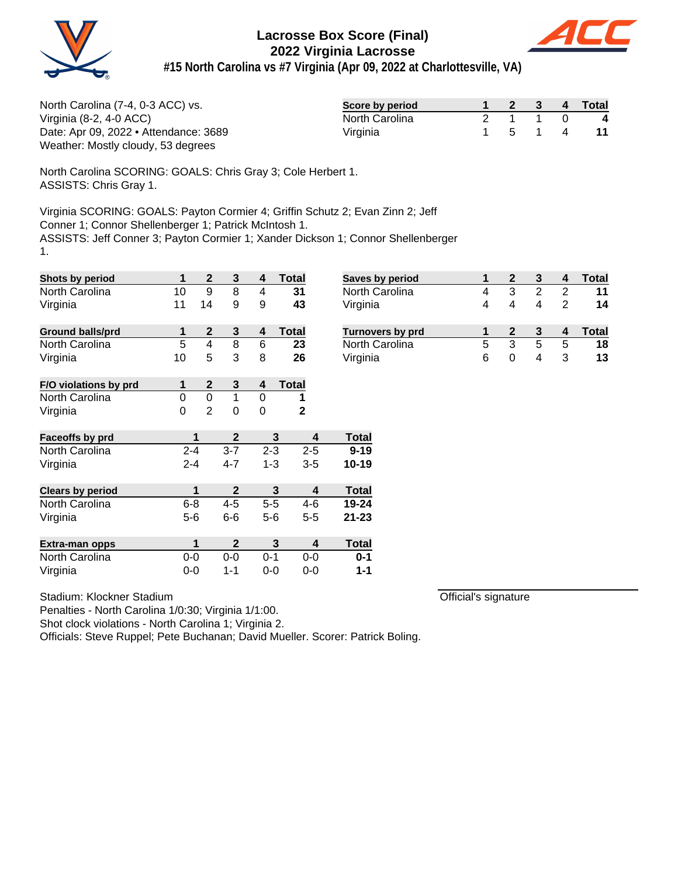



**#15 North Carolina vs #7 Virginia (Apr 09, 2022 at Charlottesville, VA)**

| North Carolina (7-4, 0-3 ACC) vs.     | Score by period |         |  | 2 3 4 Total |
|---------------------------------------|-----------------|---------|--|-------------|
| Virginia (8-2, 4-0 $ACC$ )            | North Carolina  | 2 1 1 0 |  | 4           |
| Date: Apr 09, 2022 • Attendance: 3689 | Virginia        | 5 1 4   |  | -11         |
| Weather: Mostly cloudy, 53 degrees    |                 |         |  |             |

North Carolina SCORING: GOALS: Chris Gray 3; Cole Herbert 1. ASSISTS: Chris Gray 1.

Virginia SCORING: GOALS: Payton Cormier 4; Griffin Schutz 2; Evan Zinn 2; Jeff Conner 1; Connor Shellenberger 1; Patrick McIntosh 1. ASSISTS: Jeff Conner 3; Payton Cormier 1; Xander Dickson 1; Connor Shellenberger 1.

| Shots by period         | 1       | $\mathbf{2}$   | 3            | 4       | <b>Total</b> |                         | <b>Saves</b> |
|-------------------------|---------|----------------|--------------|---------|--------------|-------------------------|--------------|
| North Carolina          | 10      | 9              | 8            | 4       | 31           |                         | North        |
| Virginia                | 11      | 14             | 9            | 9       | 43           |                         | Virgin       |
| <b>Ground balls/prd</b> | 1       | $\overline{2}$ | 3            | 4       | <b>Total</b> |                         | <b>Turno</b> |
| North Carolina          | 5       | 4              | 8            | 6       | 23           |                         | North        |
| Virginia                | 10      | 5              | 3            | 8       | 26           |                         | Virgin       |
| F/O violations by prd   | 1       | $\mathbf 2$    | 3            | 4       | <b>Total</b> |                         |              |
| North Carolina          | 0       | 0              | 1            | 0       | 1            |                         |              |
| Virginia                | 0       | 2              | 0            | 0       | $\mathbf{2}$ |                         |              |
| <b>Faceoffs by prd</b>  |         | 1              | $\mathbf{2}$ |         | 3            | 4                       | <b>Total</b> |
| North Carolina          | $2 - 4$ |                | $3 - 7$      |         | $2 - 3$      | $2 - 5$                 | $9 - 19$     |
| Virginia                | $2 - 4$ |                | $4 - 7$      |         | $1 - 3$      | $3 - 5$                 | 10-19        |
| <b>Clears by period</b> |         | 1              | $\mathbf{2}$ |         | 3            | $\overline{\mathbf{4}}$ | <b>Total</b> |
| North Carolina          | $6 - 8$ |                | $4 - 5$      |         | $5-5$        | $4-6$                   | 19-24        |
| Virginia                | $5 - 6$ |                | $6-6$        | $5 - 6$ |              | $5 - 5$                 | 21-23        |
| Extra-man opps          |         | 1              | $\mathbf 2$  |         | 3            | 4                       | <b>Total</b> |
| North Carolina          | $0-0$   |                | $0 - 0$      | $0 - 1$ |              | $0-0$                   | $0 - 1$      |
| Virginia                | 0-0     |                | 1-1          | $0 - 0$ |              | $0-0$                   | $1 - 1$      |

Stadium: Klockner Stadium

Penalties - North Carolina 1/0:30; Virginia 1/1:00.

Shot clock violations - North Carolina 1; Virginia 2.

Officials: Steve Ruppel; Pete Buchanan; David Mueller. Scorer: Patrick Boling.

| <b>Saves by period</b>  |   |   |   |   | Total |
|-------------------------|---|---|---|---|-------|
| North Carolina          | 4 | з |   | 2 | 11    |
| Virginia                | 4 |   |   | 2 | 14    |
| <b>Turnovers by prd</b> |   |   |   |   | Total |
|                         |   |   |   |   |       |
| North Carolina          | 5 | 3 | 5 | 5 | 18    |

Official's signature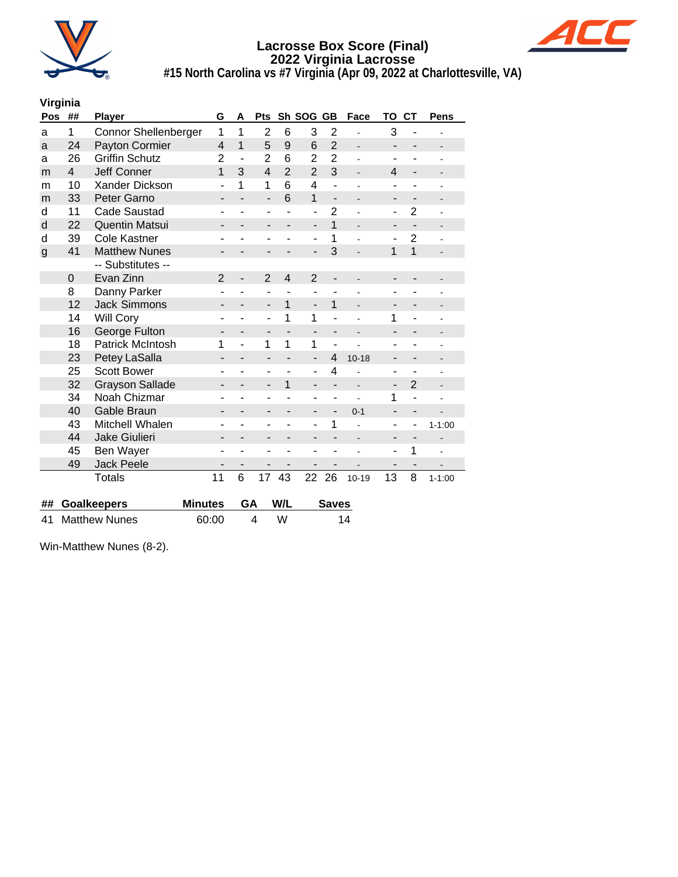



**#15 North Carolina vs #7 Virginia (Apr 09, 2022 at Charlottesville, VA)**

# **Virginia**

| Pos          | ##                   | <b>Player</b>               | G                        | A                        | Pts                      |                          | Sh SOG                   | <b>GB</b><br>Face        |                          | то                       | <b>CT</b>                | Pens                         |
|--------------|----------------------|-----------------------------|--------------------------|--------------------------|--------------------------|--------------------------|--------------------------|--------------------------|--------------------------|--------------------------|--------------------------|------------------------------|
| a            | 1                    | <b>Connor Shellenberger</b> | 1                        | 1                        | $\overline{2}$           | 6                        | 3                        | $\overline{2}$           |                          | 3                        |                          |                              |
| a            | 24                   | Payton Cormier              | $\overline{4}$           | $\overline{1}$           | 5                        | 9                        | 6                        | $\overline{2}$           | $\overline{\phantom{0}}$ | $\overline{\phantom{0}}$ | $\overline{a}$           |                              |
| a            | 26                   | <b>Griffin Schutz</b>       | $\overline{2}$           | ÷,                       | $\overline{2}$           | 6                        | 2                        | $\overline{2}$           | ÷                        | $\overline{\phantom{a}}$ |                          | ۰                            |
| m            | 4                    | <b>Jeff Conner</b>          | 1                        | 3                        | $\overline{\mathbf{4}}$  | $\overline{2}$           | $\overline{2}$           | 3                        |                          | 4                        | $\overline{\phantom{0}}$ |                              |
| m            | 10                   | Xander Dickson              | ۰                        | 1                        | 1                        | 6                        | 4                        | ä,                       |                          | ٠                        | ۰                        |                              |
| m            | 33                   | Peter Garno                 | -                        |                          | $\overline{\phantom{0}}$ | 6                        | 1                        | $\overline{\phantom{0}}$ | $\overline{a}$           | -                        | $\overline{\phantom{0}}$ |                              |
| d            | 11                   | <b>Cade Saustad</b>         | ۰                        |                          | ÷,                       |                          | -                        | $\overline{2}$           | L                        | $\overline{\phantom{0}}$ | $\overline{2}$           |                              |
| d            | 22                   | <b>Quentin Matsui</b>       | $\overline{\phantom{0}}$ | $\overline{\phantom{0}}$ | -                        | -                        | $\overline{\phantom{a}}$ | $\overline{1}$           | $\overline{\phantom{0}}$ | $\overline{\phantom{0}}$ | $\overline{\phantom{0}}$ | $\overline{\phantom{0}}$     |
| d            | 39                   | <b>Cole Kastner</b>         |                          |                          |                          |                          | ÷,                       | 1                        |                          |                          | $\overline{2}$           |                              |
| $\mathsf{g}$ | 41                   | <b>Matthew Nunes</b>        | -                        |                          | ٠                        |                          | $\overline{\phantom{0}}$ | 3                        |                          | 1                        | 1                        |                              |
|              |                      | -- Substitutes --           |                          |                          |                          |                          |                          |                          |                          |                          |                          |                              |
|              | 0                    | Evan Zinn                   | $\overline{2}$           | -                        | $\overline{2}$           | $\overline{\mathbf{4}}$  | $\overline{2}$           | -                        |                          |                          |                          |                              |
|              | 8                    | Danny Parker                | ۰                        | L                        | ÷,                       |                          | $\blacksquare$           |                          |                          | ۰                        | ä,                       |                              |
|              | 12                   | <b>Jack Simmons</b>         | -                        |                          | $\overline{\phantom{0}}$ | 1                        | $\overline{a}$           | $\mathbf{1}$             |                          |                          |                          |                              |
|              | 14                   | <b>Will Cory</b>            | ۰                        |                          | ÷,                       | 1                        | 1                        | L                        |                          | 1                        |                          |                              |
|              | 16                   | George Fulton               | -                        |                          | -                        |                          | $\overline{a}$           | -                        | Ē,                       |                          |                          |                              |
|              | 18                   | <b>Patrick McIntosh</b>     | 1                        | ۰                        | 1                        | 1                        | 1                        | $\blacksquare$           |                          |                          |                          |                              |
|              | 23                   | Petey LaSalla               | $\overline{\phantom{0}}$ | $\overline{\phantom{a}}$ | $\overline{\phantom{a}}$ | $\overline{\phantom{a}}$ | $\overline{\phantom{a}}$ | $\overline{4}$           | $10 - 18$                | -                        | $\overline{\phantom{a}}$ | $\qquad \qquad \blacksquare$ |
|              | 25                   | <b>Scott Bower</b>          |                          |                          | ۰                        |                          | ٠                        | 4                        |                          |                          |                          |                              |
|              | 32                   | <b>Grayson Sallade</b>      | -                        |                          | $\overline{\phantom{0}}$ | 1                        | $\overline{\phantom{0}}$ |                          |                          | $\overline{\phantom{0}}$ | $\overline{2}$           |                              |
|              | 34                   | Noah Chizmar                |                          |                          | ٠                        |                          | ۰                        |                          |                          | 1                        | ÷,                       |                              |
|              | 40                   | Gable Braun                 | -                        |                          | $\overline{\phantom{a}}$ |                          | -                        |                          | $0 - 1$                  | $\overline{\phantom{a}}$ | -                        |                              |
|              | 43                   | Mitchell Whalen             | ۰                        | ÷                        | ÷,                       |                          | L,                       | 1                        |                          | $\overline{\phantom{a}}$ | ۰                        | $1 - 1:00$                   |
|              | 44                   | Jake Giulieri               |                          |                          |                          |                          |                          |                          |                          |                          | $\overline{\phantom{0}}$ |                              |
|              | 45                   | Ben Wayer                   |                          |                          |                          |                          |                          |                          |                          | ۰                        | 1                        |                              |
|              | 49                   | <b>Jack Peele</b>           |                          |                          |                          |                          |                          |                          |                          | $\overline{\phantom{0}}$ | $\overline{\phantom{0}}$ |                              |
|              |                      | <b>Totals</b>               | 11                       | 6                        | 17                       | 43                       | 22                       | 26                       | $10 - 19$                | 13                       | 8                        | $1 - 1:00$                   |
|              |                      |                             |                          |                          |                          |                          |                          |                          |                          |                          |                          |                              |
| ##           |                      | <b>Goalkeepers</b>          | <b>Minutes</b>           | GA                       |                          | W/L                      |                          | <b>Saves</b>             |                          |                          |                          |                              |
| 41           | <b>Matthew Nunes</b> |                             | 60:00                    |                          | 4                        | W                        |                          |                          | 14                       |                          |                          |                              |

Win-Matthew Nunes (8-2).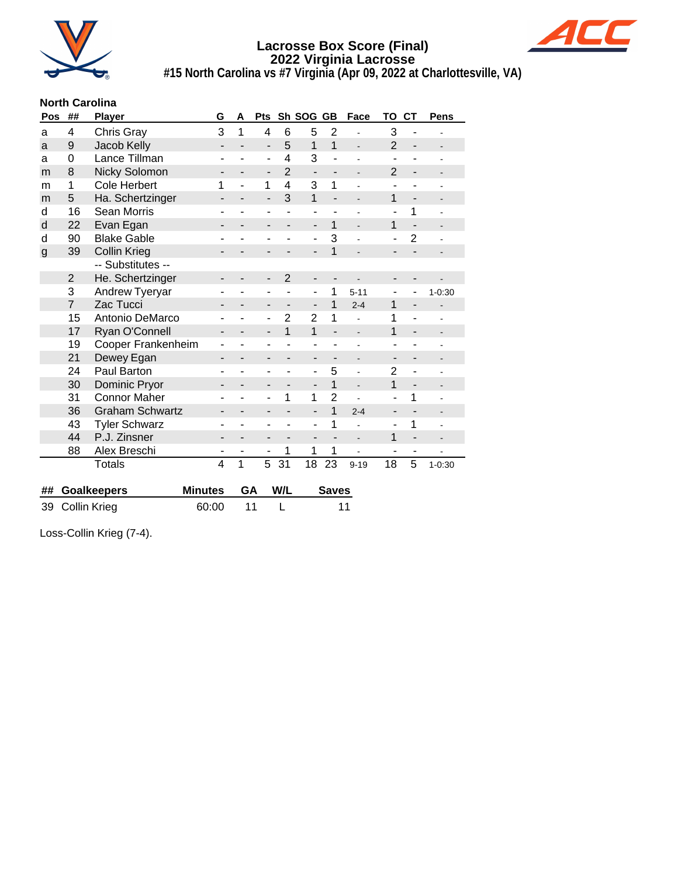



**#15 North Carolina vs #7 Virginia (Apr 09, 2022 at Charlottesville, VA)**

# **North Carolina**

| Pos          | ##             | <b>Player</b>          | G              | A | Pts                      |                | Sh SOG                       | <b>GB</b>                | Face                         | то             | <b>CT</b>                | Pens       |
|--------------|----------------|------------------------|----------------|---|--------------------------|----------------|------------------------------|--------------------------|------------------------------|----------------|--------------------------|------------|
| a            | 4              | Chris Gray             | 3              | 1 | 4                        | 6              | 5                            | $\overline{2}$           |                              | 3              |                          |            |
| a            | 9              | Jacob Kelly            |                |   | $\overline{a}$           | 5              | 1                            | $\mathbf{1}$             |                              | $\overline{2}$ | $\overline{\phantom{0}}$ |            |
| a            | 0              | Lance Tillman          |                |   | ÷,                       | 4              | 3                            | ä,                       | ä,                           | $\blacksquare$ |                          |            |
| m            | 8              | Nicky Solomon          |                |   | -                        | $\overline{2}$ | $\qquad \qquad \blacksquare$ | -                        | $\qquad \qquad \blacksquare$ | $\overline{2}$ | $\overline{\phantom{0}}$ |            |
| m            | 1              | <b>Cole Herbert</b>    | 1              |   | 1                        | 4              | 3                            | $\mathbf{1}$             |                              |                |                          |            |
| m            | 5              | Ha. Schertzinger       |                |   | $\overline{\phantom{0}}$ | 3              | $\mathbf{1}$                 | $\overline{\phantom{a}}$ |                              | 1              | $\overline{\phantom{0}}$ |            |
| d            | 16             | Sean Morris            |                |   | ۰                        |                | ٠                            |                          |                              | $\blacksquare$ | 1                        |            |
| d            | 22             | Evan Egan              |                |   |                          |                | $\blacksquare$               | 1                        |                              | 1              |                          |            |
| d            | 90             | <b>Blake Gable</b>     |                |   |                          |                | $\overline{\phantom{a}}$     | 3                        |                              |                | $\overline{2}$           |            |
| $\mathsf{g}$ | 39             | <b>Collin Krieg</b>    | ۰              |   |                          |                | $\overline{\phantom{a}}$     | 1                        | $\overline{\phantom{a}}$     |                |                          |            |
|              |                | -- Substitutes --      |                |   |                          |                |                              |                          |                              |                |                          |            |
|              | $\overline{2}$ | He. Schertzinger       |                |   |                          | $\overline{2}$ |                              |                          |                              |                |                          |            |
|              | 3              | Andrew Tyeryar         |                |   | ۰                        |                | $\overline{\phantom{a}}$     | 1                        | $5 - 11$                     | ٠              | ۰                        | $1 - 0.30$ |
|              | $\overline{7}$ | Zac Tucci              |                |   |                          |                | $\overline{\phantom{0}}$     | 1                        | $2 - 4$                      | 1              |                          |            |
|              | 15             | Antonio DeMarco        |                |   |                          | $\overline{2}$ | $\overline{2}$               | 1                        |                              | 1              |                          |            |
|              | 17             | Ryan O'Connell         | -              |   | -                        | $\mathbf{1}$   | $\mathbf{1}$                 | $\overline{\phantom{0}}$ |                              | 1              | $\overline{\phantom{0}}$ |            |
|              | 19             | Cooper Frankenheim     |                |   |                          |                | ٠                            |                          |                              |                |                          |            |
|              | 21             | Dewey Egan             |                |   |                          |                | $\blacksquare$               |                          | $\overline{\phantom{m}}$     |                |                          |            |
|              | 24             | Paul Barton            |                |   |                          |                | $\blacksquare$               | 5                        |                              | $\overline{2}$ | ۰                        |            |
|              | 30             | Dominic Pryor          | -              |   | -                        |                | $\overline{\phantom{a}}$     | 1                        | $\overline{\phantom{0}}$     | 1              | $\overline{\phantom{a}}$ | -          |
|              | 31             | <b>Connor Maher</b>    |                |   | ÷                        | 1              | 1                            | $\overline{2}$           |                              |                | 1                        |            |
|              | 36             | <b>Graham Schwartz</b> |                |   |                          |                | $\overline{\phantom{a}}$     | 1                        | $2 - 4$                      |                |                          |            |
|              | 43             | <b>Tyler Schwarz</b>   |                |   | ۰                        |                | $\blacksquare$               | 1                        | ÷                            | $\blacksquare$ | 1                        |            |
|              | 44             | P.J. Zinsner           |                |   |                          |                | -                            |                          |                              | 1              |                          |            |
|              | 88             | Alex Breschi           |                |   | ۰                        | 1              | 1                            | 1                        |                              |                | ۰                        |            |
|              |                | <b>Totals</b>          | $\overline{4}$ | 1 | 5                        | 31             | 18                           | 23                       | $9 - 19$                     | 18             | 5                        | $1 - 0:30$ |
|              |                |                        |                |   |                          |                |                              |                          |                              |                |                          |            |

| ## Goalkeepers  | Minutes GA W/L |  | Saves |
|-----------------|----------------|--|-------|
| 39 Collin Krieg | 60:00 11       |  | 11    |

Loss-Collin Krieg (7-4).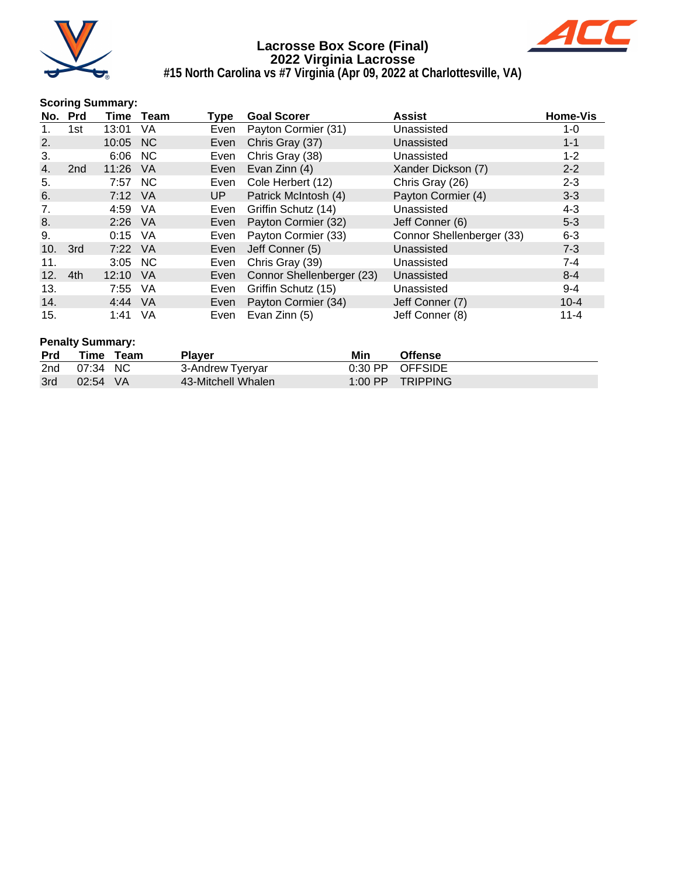



# **#15 North Carolina vs #7 Virginia (Apr 09, 2022 at Charlottesville, VA)**

#### **Scoring Summary:**

| No. Prd |                 |           | Time Team | Type | <b>Goal Scorer</b>        | <b>Assist</b>             | <b>Home-Vis</b> |
|---------|-----------------|-----------|-----------|------|---------------------------|---------------------------|-----------------|
|         | 1st             | 13:01     | VA        | Even | Payton Cormier (31)       | Unassisted                | 1-0             |
| 2.      |                 | 10:05 NC  |           | Even | Chris Gray (37)           | Unassisted                | $1 - 1$         |
| 3.      |                 | 6:06 NC   |           | Even | Chris Gray (38)           | Unassisted                | $1 - 2$         |
| 4.      | 2 <sub>nd</sub> | 11:26     | - VA      | Even | Evan Zinn (4)             | Xander Dickson (7)        | $2 - 2$         |
| 5.      |                 | 7:57 NC   |           | Even | Cole Herbert (12)         | Chris Gray (26)           | $2 - 3$         |
| 6.      |                 | 7:12 VA   |           | UP   | Patrick McIntosh (4)      | Payton Cormier (4)        | $3 - 3$         |
| 7.      |                 | 4:59      | - VA      | Even | Griffin Schutz (14)       | Unassisted                | $4 - 3$         |
| 8.      |                 | $2:26$ VA |           | Even | Payton Cormier (32)       | Jeff Conner (6)           | $5 - 3$         |
| 9.      |                 | $0:15$ VA |           | Even | Payton Cormier (33)       | Connor Shellenberger (33) | $6 - 3$         |
| 10.     | 3rd             | 7:22 VA   |           | Even | Jeff Conner (5)           | Unassisted                | $7 - 3$         |
| 11.     |                 | 3:05 NC   |           | Even | Chris Gray (39)           | Unassisted                | $7 - 4$         |
| 12.     | 4th             | 12:10     | VA        | Even | Connor Shellenberger (23) | Unassisted                | $8 - 4$         |
| 13.     |                 | 7:55      | VA        | Even | Griffin Schutz (15)       | Unassisted                | $9 - 4$         |
| 14.     |                 | 4:44 VA   |           | Even | Payton Cormier (34)       | Jeff Conner (7)           | $10 - 4$        |
| 15.     |                 | 1:41      | VA        | Even | Evan Zinn (5)             | Jeff Conner (8)           | $11 - 4$        |

# **Penalty Summary:**

| <b>Prd</b> | Time     | Team | <b>Plaver</b>      | Min       | <b>Offense</b>    |
|------------|----------|------|--------------------|-----------|-------------------|
| 2nd        | 07:34 NC |      | 3-Andrew Tyeryar   |           | $0:30$ PP OFFSIDE |
| 3rd        | 02:54 VA |      | 43-Mitchell Whalen | $1:00$ PP | <b>TRIPPING</b>   |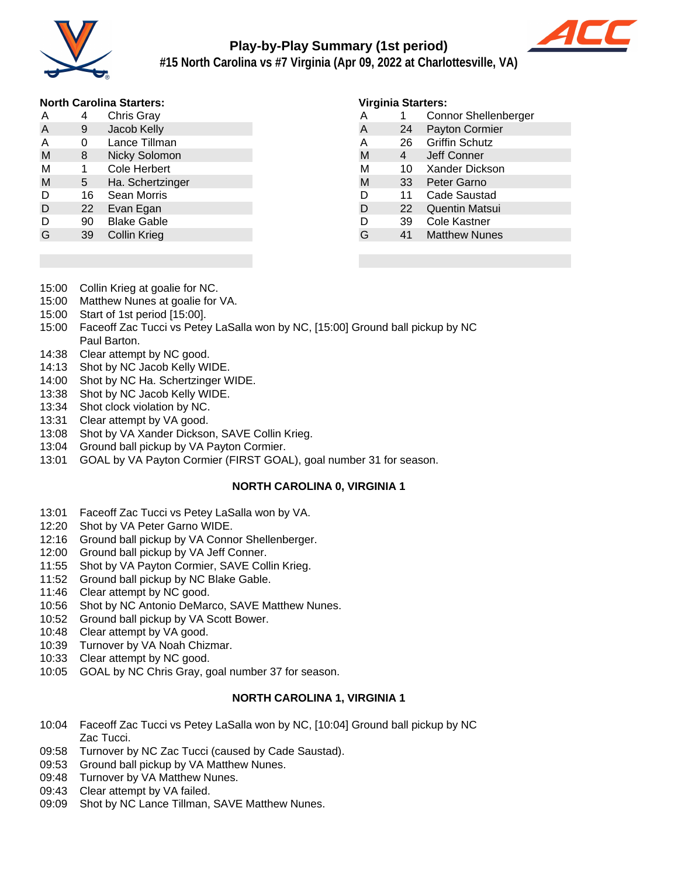

# **Play-by-Play Summary (1st period)**



**#15 North Carolina vs #7 Virginia (Apr 09, 2022 at Charlottesville, VA)**

## **North Carolina Starters:**

| A | 4  | <b>Chris Gray</b>    |
|---|----|----------------------|
| A | 9  | Jacob Kelly          |
| A | 0  | Lance Tillman        |
| M | 8  | <b>Nicky Solomon</b> |
| М | 1  | <b>Cole Herbert</b>  |
| M | 5  | Ha. Schertzinger     |
| D | 16 | Sean Morris          |
| D | 22 | Evan Egan            |
| D | 90 | <b>Blake Gable</b>   |
| G | 39 | <b>Collin Krieg</b>  |

#### **Virginia Starters:**

| . |    | .                           |
|---|----|-----------------------------|
| Α | 1  | <b>Connor Shellenberger</b> |
| A | 24 | <b>Payton Cormier</b>       |
| Α | 26 | <b>Griffin Schutz</b>       |
| M | 4  | Jeff Conner                 |
| М | 10 | Xander Dickson              |
| M | 33 | Peter Garno                 |
| D | 11 | Cade Saustad                |
| D | 22 | <b>Quentin Matsui</b>       |
| D | 39 | Cole Kastner                |
| G | 41 | <b>Matthew Nunes</b>        |
|   |    |                             |

- 15:00 Collin Krieg at goalie for NC.
- 15:00 Matthew Nunes at goalie for VA.
- 15:00 Start of 1st period [15:00].
- 15:00 Faceoff Zac Tucci vs Petey LaSalla won by NC, [15:00] Ground ball pickup by NC Paul Barton.
- 14:38 Clear attempt by NC good.
- 14:13 Shot by NC Jacob Kelly WIDE.
- 14:00 Shot by NC Ha. Schertzinger WIDE.
- 13:38 Shot by NC Jacob Kelly WIDE.
- 13:34 Shot clock violation by NC.
- 13:31 Clear attempt by VA good.
- 13:08 Shot by VA Xander Dickson, SAVE Collin Krieg.
- 13:04 Ground ball pickup by VA Payton Cormier.
- 13:01 GOAL by VA Payton Cormier (FIRST GOAL), goal number 31 for season.

#### **NORTH CAROLINA 0, VIRGINIA 1**

- 13:01 Faceoff Zac Tucci vs Petey LaSalla won by VA.
- 12:20 Shot by VA Peter Garno WIDE.
- 12:16 Ground ball pickup by VA Connor Shellenberger.
- 12:00 Ground ball pickup by VA Jeff Conner.
- 11:55 Shot by VA Payton Cormier, SAVE Collin Krieg.
- 11:52 Ground ball pickup by NC Blake Gable.
- 11:46 Clear attempt by NC good.
- 10:56 Shot by NC Antonio DeMarco, SAVE Matthew Nunes.
- 10:52 Ground ball pickup by VA Scott Bower.
- 10:48 Clear attempt by VA good.
- 10:39 Turnover by VA Noah Chizmar.
- 10:33 Clear attempt by NC good.
- 10:05 GOAL by NC Chris Gray, goal number 37 for season.

# **NORTH CAROLINA 1, VIRGINIA 1**

- 10:04 Faceoff Zac Tucci vs Petey LaSalla won by NC, [10:04] Ground ball pickup by NC Zac Tucci.
- 09:58 Turnover by NC Zac Tucci (caused by Cade Saustad).
- 09:53 Ground ball pickup by VA Matthew Nunes.
- 09:48 Turnover by VA Matthew Nunes.
- 09:43 Clear attempt by VA failed.
- 09:09 Shot by NC Lance Tillman, SAVE Matthew Nunes.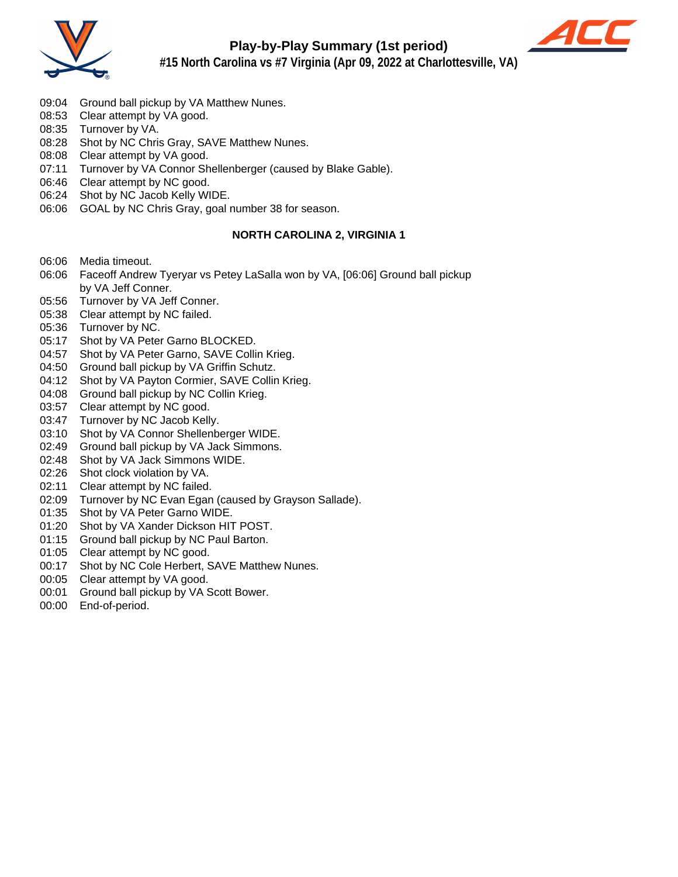



**#15 North Carolina vs #7 Virginia (Apr 09, 2022 at Charlottesville, VA)**

- 09:04 Ground ball pickup by VA Matthew Nunes.
- 08:53 Clear attempt by VA good.
- 08:35 Turnover by VA.
- 08:28 Shot by NC Chris Gray, SAVE Matthew Nunes.
- 08:08 Clear attempt by VA good.
- 07:11 Turnover by VA Connor Shellenberger (caused by Blake Gable).
- 06:46 Clear attempt by NC good.
- 06:24 Shot by NC Jacob Kelly WIDE.
- 06:06 GOAL by NC Chris Gray, goal number 38 for season.

## **NORTH CAROLINA 2, VIRGINIA 1**

- 06:06 Media timeout.
- 06:06 Faceoff Andrew Tyeryar vs Petey LaSalla won by VA, [06:06] Ground ball pickup by VA Jeff Conner.
- 05:56 Turnover by VA Jeff Conner.
- 05:38 Clear attempt by NC failed.
- 05:36 Turnover by NC.
- 05:17 Shot by VA Peter Garno BLOCKED.
- 04:57 Shot by VA Peter Garno, SAVE Collin Krieg.
- 04:50 Ground ball pickup by VA Griffin Schutz.
- 04:12 Shot by VA Payton Cormier, SAVE Collin Krieg.
- 04:08 Ground ball pickup by NC Collin Krieg.
- 03:57 Clear attempt by NC good.
- 03:47 Turnover by NC Jacob Kelly.
- 03:10 Shot by VA Connor Shellenberger WIDE.
- 02:49 Ground ball pickup by VA Jack Simmons.
- 02:48 Shot by VA Jack Simmons WIDE.
- 02:26 Shot clock violation by VA.
- 02:11 Clear attempt by NC failed.
- 02:09 Turnover by NC Evan Egan (caused by Grayson Sallade).
- 01:35 Shot by VA Peter Garno WIDE.
- 01:20 Shot by VA Xander Dickson HIT POST.
- 01:15 Ground ball pickup by NC Paul Barton.
- 01:05 Clear attempt by NC good.
- 00:17 Shot by NC Cole Herbert, SAVE Matthew Nunes.
- 00:05 Clear attempt by VA good.
- 00:01 Ground ball pickup by VA Scott Bower.
- 00:00 End-of-period.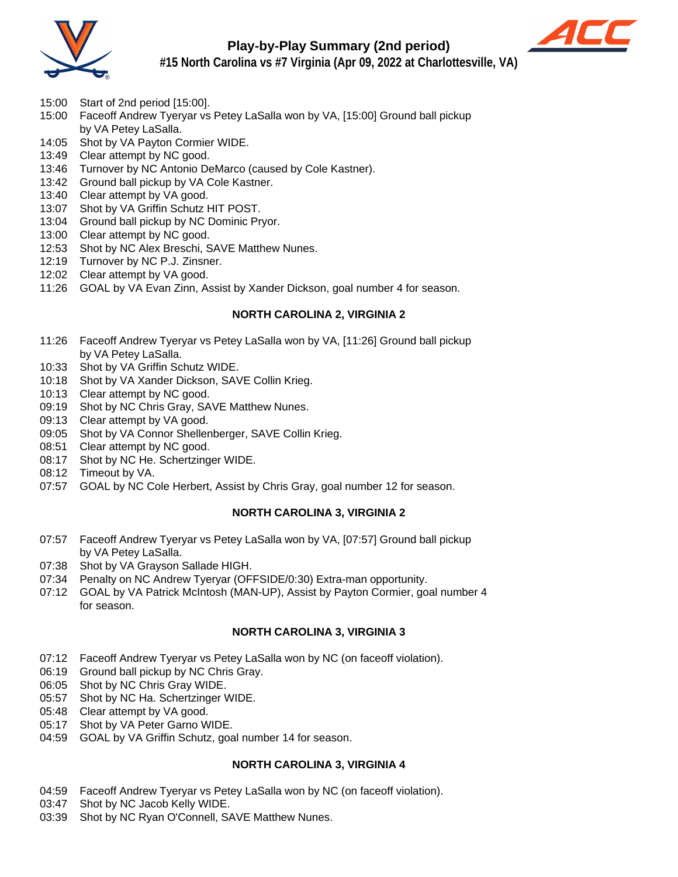

# **Play-by-Play Summary (2nd period)**



**#15 North Carolina vs #7 Virginia (Apr 09, 2022 at Charlottesville, VA)**

- 15:00 Start of 2nd period [15:00].
- 15:00 Faceoff Andrew Tyeryar vs Petey LaSalla won by VA, [15:00] Ground ball pickup by VA Petey LaSalla.
- 14:05 Shot by VA Payton Cormier WIDE.
- 13:49 Clear attempt by NC good.
- 13:46 Turnover by NC Antonio DeMarco (caused by Cole Kastner).
- 13:42 Ground ball pickup by VA Cole Kastner.
- 13:40 Clear attempt by VA good.
- 13:07 Shot by VA Griffin Schutz HIT POST.
- 13:04 Ground ball pickup by NC Dominic Pryor.
- 13:00 Clear attempt by NC good.
- 12:53 Shot by NC Alex Breschi, SAVE Matthew Nunes.
- 12:19 Turnover by NC P.J. Zinsner.
- 12:02 Clear attempt by VA good.
- 11:26 GOAL by VA Evan Zinn, Assist by Xander Dickson, goal number 4 for season.

# **NORTH CAROLINA 2, VIRGINIA 2**

- 11:26 Faceoff Andrew Tyeryar vs Petey LaSalla won by VA, [11:26] Ground ball pickup by VA Petey LaSalla.
- 10:33 Shot by VA Griffin Schutz WIDE.
- 10:18 Shot by VA Xander Dickson, SAVE Collin Krieg.
- 10:13 Clear attempt by NC good.
- 09:19 Shot by NC Chris Gray, SAVE Matthew Nunes.
- 09:13 Clear attempt by VA good.
- 09:05 Shot by VA Connor Shellenberger, SAVE Collin Krieg.
- 08:51 Clear attempt by NC good.
- 08:17 Shot by NC He. Schertzinger WIDE.
- 08:12 Timeout by VA.
- 07:57 GOAL by NC Cole Herbert, Assist by Chris Gray, goal number 12 for season.

# **NORTH CAROLINA 3, VIRGINIA 2**

- 07:57 Faceoff Andrew Tyeryar vs Petey LaSalla won by VA, [07:57] Ground ball pickup by VA Petey LaSalla.
- 07:38 Shot by VA Grayson Sallade HIGH.
- 07:34 Penalty on NC Andrew Tyeryar (OFFSIDE/0:30) Extra-man opportunity.
- 07:12 GOAL by VA Patrick McIntosh (MAN-UP), Assist by Payton Cormier, goal number 4 for season.

## **NORTH CAROLINA 3, VIRGINIA 3**

- 07:12 Faceoff Andrew Tyeryar vs Petey LaSalla won by NC (on faceoff violation).
- 06:19 Ground ball pickup by NC Chris Gray.
- 06:05 Shot by NC Chris Gray WIDE.
- 05:57 Shot by NC Ha. Schertzinger WIDE.
- 05:48 Clear attempt by VA good.
- 05:17 Shot by VA Peter Garno WIDE.
- 04:59 GOAL by VA Griffin Schutz, goal number 14 for season.

## **NORTH CAROLINA 3, VIRGINIA 4**

- 04:59 Faceoff Andrew Tyeryar vs Petey LaSalla won by NC (on faceoff violation).
- 03:47 Shot by NC Jacob Kelly WIDE.
- 03:39 Shot by NC Ryan O'Connell, SAVE Matthew Nunes.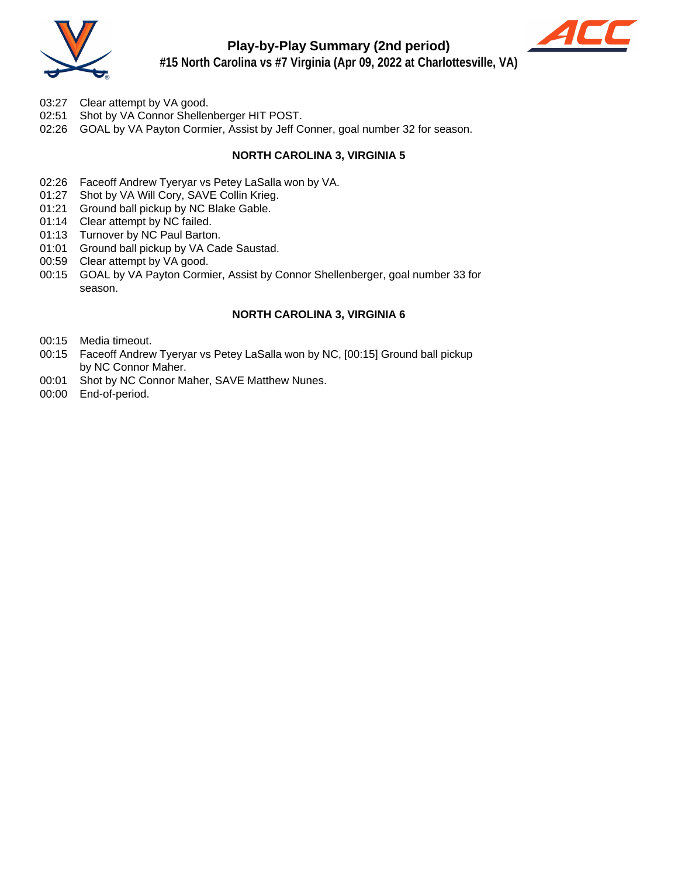

# **Play-by-Play Summary (2nd period)**



**#15 North Carolina vs #7 Virginia (Apr 09, 2022 at Charlottesville, VA)**

- 03:27 Clear attempt by VA good.
- 02:51 Shot by VA Connor Shellenberger HIT POST.
- 02:26 GOAL by VA Payton Cormier, Assist by Jeff Conner, goal number 32 for season.

# **NORTH CAROLINA 3, VIRGINIA 5**

- 02:26 Faceoff Andrew Tyeryar vs Petey LaSalla won by VA.
- 01:27 Shot by VA Will Cory, SAVE Collin Krieg.
- 01:21 Ground ball pickup by NC Blake Gable.
- 01:14 Clear attempt by NC failed.
- 01:13 Turnover by NC Paul Barton.
- 01:01 Ground ball pickup by VA Cade Saustad.
- 00:59 Clear attempt by VA good.
- 00:15 GOAL by VA Payton Cormier, Assist by Connor Shellenberger, goal number 33 for season.

## **NORTH CAROLINA 3, VIRGINIA 6**

- 00:15 Media timeout.
- 00:15 Faceoff Andrew Tyeryar vs Petey LaSalla won by NC, [00:15] Ground ball pickup by NC Connor Maher.
- 00:01 Shot by NC Connor Maher, SAVE Matthew Nunes.
- 00:00 End-of-period.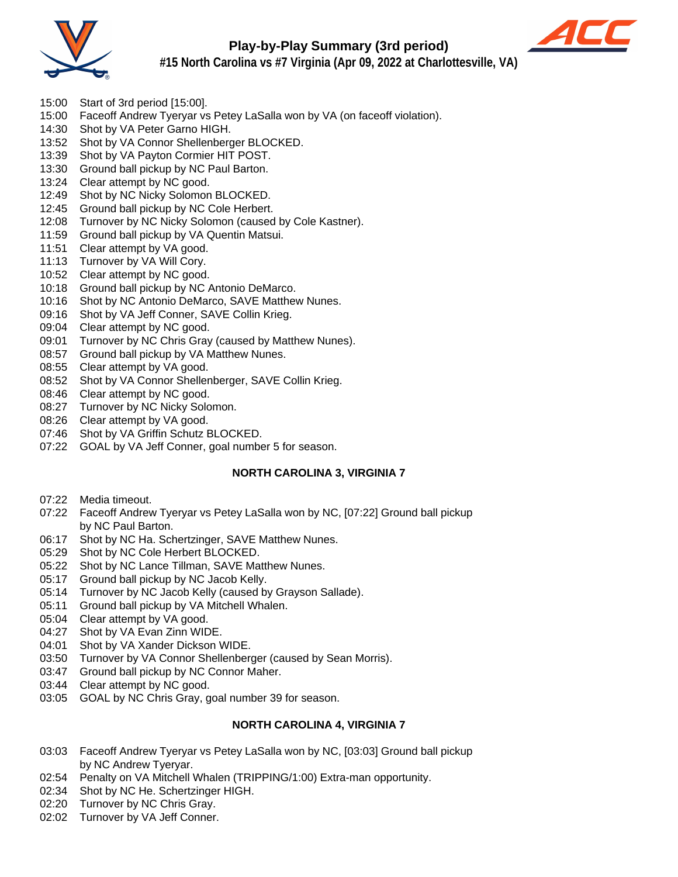

# **Play-by-Play Summary (3rd period)**



**#15 North Carolina vs #7 Virginia (Apr 09, 2022 at Charlottesville, VA)**

- 15:00 Start of 3rd period [15:00].
- 15:00 Faceoff Andrew Tyeryar vs Petey LaSalla won by VA (on faceoff violation).
- 14:30 Shot by VA Peter Garno HIGH.
- 13:52 Shot by VA Connor Shellenberger BLOCKED.
- 13:39 Shot by VA Payton Cormier HIT POST.
- 13:30 Ground ball pickup by NC Paul Barton.
- 13:24 Clear attempt by NC good.
- 12:49 Shot by NC Nicky Solomon BLOCKED.
- 12:45 Ground ball pickup by NC Cole Herbert.
- 12:08 Turnover by NC Nicky Solomon (caused by Cole Kastner).
- 11:59 Ground ball pickup by VA Quentin Matsui.
- 11:51 Clear attempt by VA good.
- 11:13 Turnover by VA Will Cory.
- 10:52 Clear attempt by NC good.
- 10:18 Ground ball pickup by NC Antonio DeMarco.
- 10:16 Shot by NC Antonio DeMarco, SAVE Matthew Nunes.
- 09:16 Shot by VA Jeff Conner, SAVE Collin Krieg.
- 09:04 Clear attempt by NC good.
- 09:01 Turnover by NC Chris Gray (caused by Matthew Nunes).
- 08:57 Ground ball pickup by VA Matthew Nunes.
- 08:55 Clear attempt by VA good.
- 08:52 Shot by VA Connor Shellenberger, SAVE Collin Krieg.
- 08:46 Clear attempt by NC good.
- 08:27 Turnover by NC Nicky Solomon.
- 08:26 Clear attempt by VA good.
- 07:46 Shot by VA Griffin Schutz BLOCKED.
- 07:22 GOAL by VA Jeff Conner, goal number 5 for season.

## **NORTH CAROLINA 3, VIRGINIA 7**

- 07:22 Media timeout.
- 07:22 Faceoff Andrew Tyeryar vs Petey LaSalla won by NC, [07:22] Ground ball pickup by NC Paul Barton.
- 06:17 Shot by NC Ha. Schertzinger, SAVE Matthew Nunes.
- 05:29 Shot by NC Cole Herbert BLOCKED.
- 05:22 Shot by NC Lance Tillman, SAVE Matthew Nunes.
- 05:17 Ground ball pickup by NC Jacob Kelly.
- 05:14 Turnover by NC Jacob Kelly (caused by Grayson Sallade).
- 05:11 Ground ball pickup by VA Mitchell Whalen.
- 05:04 Clear attempt by VA good.
- 04:27 Shot by VA Evan Zinn WIDE.
- 04:01 Shot by VA Xander Dickson WIDE.
- 03:50 Turnover by VA Connor Shellenberger (caused by Sean Morris).<br>03:47 Ground ball pickup by NC Connor Maher.
- Ground ball pickup by NC Connor Maher.
- 03:44 Clear attempt by NC good.
- 03:05 GOAL by NC Chris Gray, goal number 39 for season.

## **NORTH CAROLINA 4, VIRGINIA 7**

- 03:03 Faceoff Andrew Tyeryar vs Petey LaSalla won by NC, [03:03] Ground ball pickup by NC Andrew Tyeryar.
- 02:54 Penalty on VA Mitchell Whalen (TRIPPING/1:00) Extra-man opportunity.
- 02:34 Shot by NC He. Schertzinger HIGH.
- 02:20 Turnover by NC Chris Gray.
- 02:02 Turnover by VA Jeff Conner.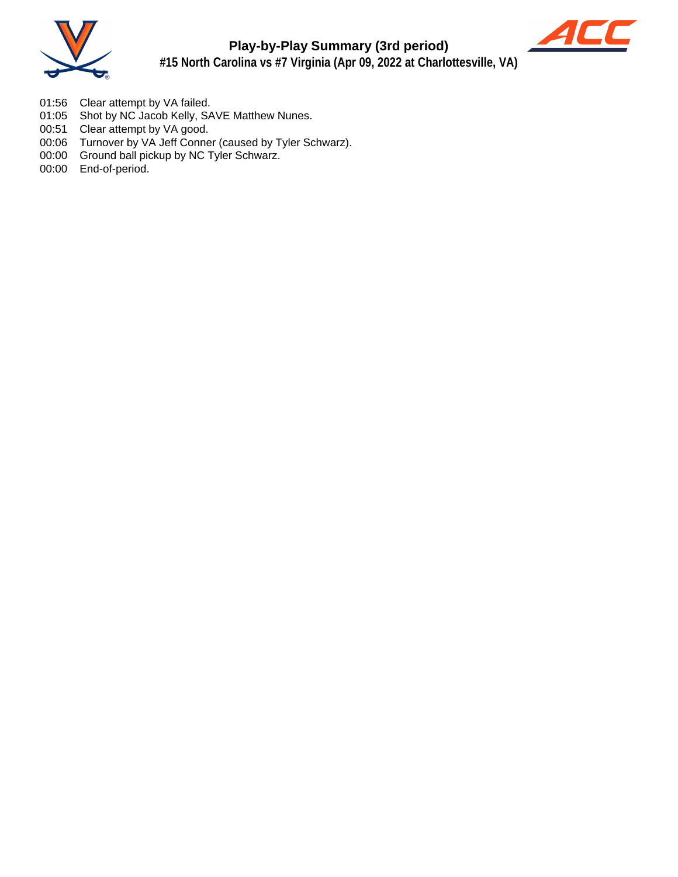



- 01:56 Clear attempt by VA failed.
- 01:05 Shot by NC Jacob Kelly, SAVE Matthew Nunes.
- 00:51 Clear attempt by VA good.
- 00:06 Turnover by VA Jeff Conner (caused by Tyler Schwarz).
- 00:00 Ground ball pickup by NC Tyler Schwarz.
- 00:00 End-of-period.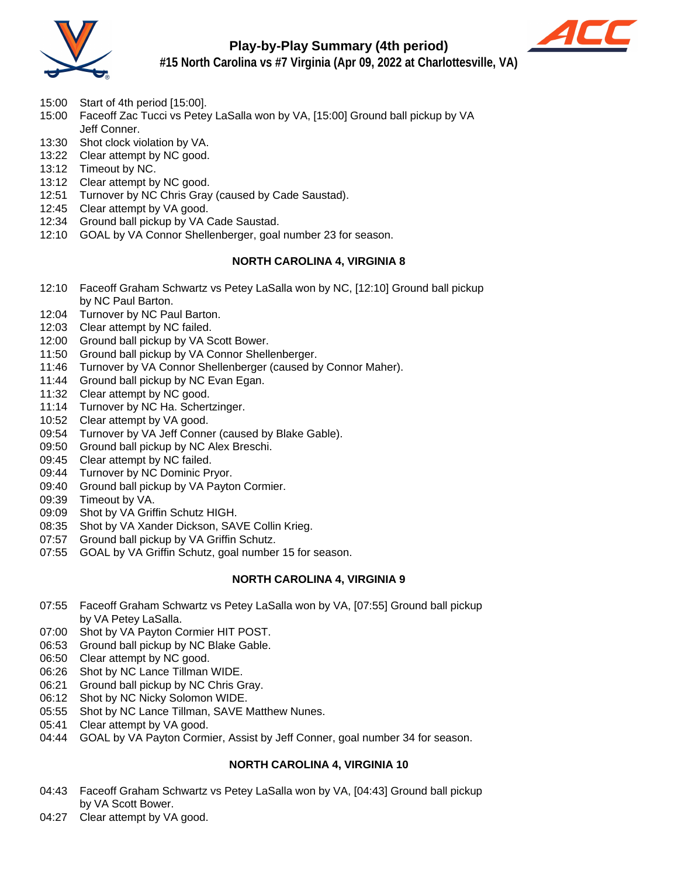

# **Play-by-Play Summary (4th period)**



**#15 North Carolina vs #7 Virginia (Apr 09, 2022 at Charlottesville, VA)**

- 15:00 Start of 4th period [15:00].
- 15:00 Faceoff Zac Tucci vs Petey LaSalla won by VA, [15:00] Ground ball pickup by VA Jeff Conner.
- 13:30 Shot clock violation by VA.
- 13:22 Clear attempt by NC good.
- 13:12 Timeout by NC.
- 13:12 Clear attempt by NC good.
- 12:51 Turnover by NC Chris Gray (caused by Cade Saustad).
- 12:45 Clear attempt by VA good.
- 12:34 Ground ball pickup by VA Cade Saustad.
- 12:10 GOAL by VA Connor Shellenberger, goal number 23 for season.

## **NORTH CAROLINA 4, VIRGINIA 8**

- 12:10 Faceoff Graham Schwartz vs Petey LaSalla won by NC, [12:10] Ground ball pickup by NC Paul Barton.
- 12:04 Turnover by NC Paul Barton.
- 12:03 Clear attempt by NC failed.
- 12:00 Ground ball pickup by VA Scott Bower.
- 11:50 Ground ball pickup by VA Connor Shellenberger.
- 11:46 Turnover by VA Connor Shellenberger (caused by Connor Maher).
- 11:44 Ground ball pickup by NC Evan Egan.
- 11:32 Clear attempt by NC good.
- 11:14 Turnover by NC Ha. Schertzinger.
- 10:52 Clear attempt by VA good.
- 09:54 Turnover by VA Jeff Conner (caused by Blake Gable).
- 09:50 Ground ball pickup by NC Alex Breschi.
- 09:45 Clear attempt by NC failed.
- 09:44 Turnover by NC Dominic Pryor.
- 09:40 Ground ball pickup by VA Payton Cormier.
- 09:39 Timeout by VA.
- 09:09 Shot by VA Griffin Schutz HIGH.
- 08:35 Shot by VA Xander Dickson, SAVE Collin Krieg.
- 07:57 Ground ball pickup by VA Griffin Schutz.
- 07:55 GOAL by VA Griffin Schutz, goal number 15 for season.

## **NORTH CAROLINA 4, VIRGINIA 9**

- 07:55 Faceoff Graham Schwartz vs Petey LaSalla won by VA, [07:55] Ground ball pickup by VA Petey LaSalla.
- 07:00 Shot by VA Payton Cormier HIT POST.
- 06:53 Ground ball pickup by NC Blake Gable.
- 06:50 Clear attempt by NC good.
- 06:26 Shot by NC Lance Tillman WIDE.
- 06:21 Ground ball pickup by NC Chris Gray.
- 06:12 Shot by NC Nicky Solomon WIDE.
- 05:55 Shot by NC Lance Tillman, SAVE Matthew Nunes.
- 05:41 Clear attempt by VA good.
- 04:44 GOAL by VA Payton Cormier, Assist by Jeff Conner, goal number 34 for season.

## **NORTH CAROLINA 4, VIRGINIA 10**

- 04:43 Faceoff Graham Schwartz vs Petey LaSalla won by VA, [04:43] Ground ball pickup by VA Scott Bower.
- 04:27 Clear attempt by VA good.